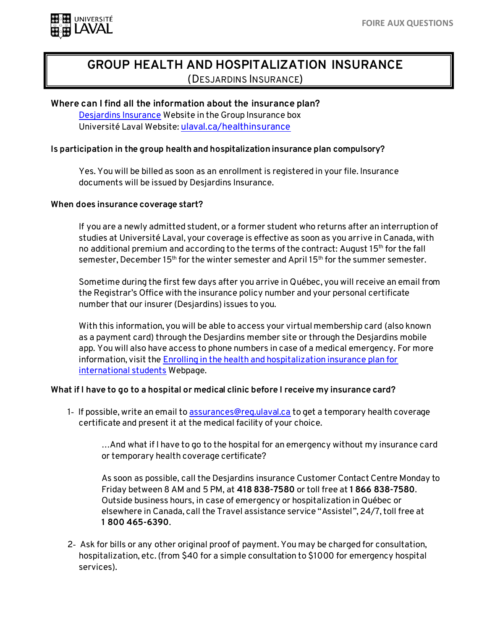

# **GROUP HEALTH AND HOSPITALIZATION INSURANCE** (DESJARDINS INSURANCE)

**Where can I find all the information about the insurance plan?** [Desjardins Insurance](https://www.desjardinslifeinsurance.com/en/group-insurance/plan-member-services?Province=QC) Website in the Group Insurance box Université Laval Website: [ulaval.ca/healthinsurance](http://ulaval.ca/healthinsurance)

# **Is participation in the group health and hospitalization insurance plan compulsory?**

Yes. You will be billed as soon as an enrollment is registered in your file. Insurance documents will be issued by Desjardins Insurance.

## **When does insurance coverage start?**

If you are a newly admitted student, or a former student who returns after an interruption of studies at Université Laval, your coverage is effective as soon as you arrive in Canada, with no additional premium and according to the terms of the contract: August 15<sup>th</sup> for the fall semester, December 15<sup>th</sup> for the winter semester and April 15<sup>th</sup> for the summer semester.

Sometime during the first few days after you arrive in Québec, you will receive an email from the Registrar's Office with the insurance policy number and your personal certificate number that our insurer (Desjardins) issues to you.

With this information, you will be able to access your virtual membership card (also known as a payment card) through the Desjardins member site or through the Desjardins mobile app. You will also have access to phone numbers in case of a medical emergency. For more information, visit th[e Enrolling in the health and hospitalization insurance plan for](https://www.ulaval.ca/en/international/immigration/enrolling-in-the-health-and-hospitalization-insurance-plan-for-international-students)  [international students](https://www.ulaval.ca/en/international/immigration/enrolling-in-the-health-and-hospitalization-insurance-plan-for-international-students) Webpage.

# **What if I have to go to a hospital or medical clinic before I receive my insurance card?**

1- If possible, write an email t[o assurances@reg.ulaval.ca](mailto:assurances@reg.ulaval.ca) to get a temporary health coverage certificate and present it at the medical facility of your choice.

…And what if I have to go to the hospital for an emergency without my insurance card or temporary health coverage certificate?

As soon as possible, call the Desjardins insurance Customer Contact Centre Monday to Friday between 8 AM and 5 PM, at **418 838-7580** or toll free at **1 866 838-7580**. Outside business hours, in case of emergency or hospitalization in Québec or elsewhere in Canada, call the Travel assistance service "Assistel", 24/7, toll free at **1 800 465-6390**.

2‐ Ask for bills or any other original proof of payment. You may be charged for consultation, hospitalization, etc. (from \$40 for a simple consultation to \$1000 for emergency hospital services).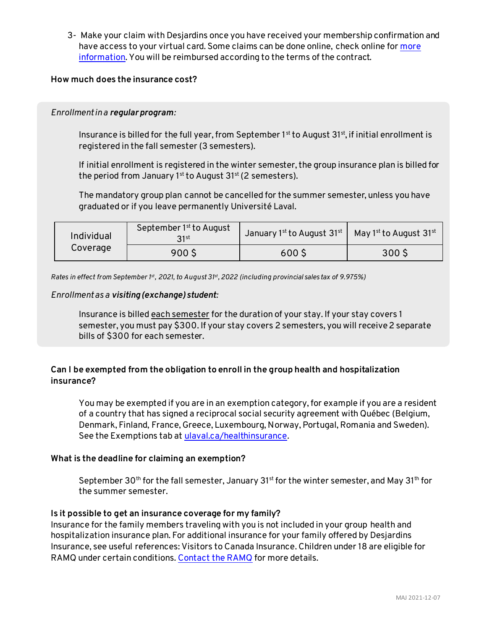3- Make your claim with Desjardins once you have received your membership confirmation and have access to your virtual card. Some claims can be done online, check online for more [information.](https://www.ulaval.ca/sites/default/files/International/Immigration/Desjardins-online-services.pdf) You will be reimbursed according to the terms of the contract.

# **How much does the insurance cost?**

## *Enrollment in a regular program:*

Insurance is billed for the full year, from September 1st to August  $31st$ , if initial enrollment is registered in the fall semester (3 semesters).

If initial enrollment is registered in the winter semester, the group insurance plan is billed for the period from January 1st to August  $31^{st}$  (2 semesters).

The mandatory group plan cannot be cancelled for the summer semester, unless you have graduated or if you leave permanently Université Laval.

| Individual<br>Coverage | September 1 <sup>st</sup> to August<br>21st | January 1st to August $31^{st}$ | May 1st to August $31^{\rm st}$ |
|------------------------|---------------------------------------------|---------------------------------|---------------------------------|
|                        | 900\$                                       | 600S                            | 300 <sup>5</sup>                |

*Rates in effect from September 1st, 2021, to August 31st, 2022 (including provincial sales tax of 9.975%)*

## *Enrollment as a visiting (exchange) student:*

Insurance is billed each semester for the duration of your stay. If your stay covers 1 semester, you must pay \$300. If your stay covers 2 semesters, you will receive 2 separate bills of \$300 for each semester.

# **Can I be exempted from the obligation to enroll in the group health and hospitalization insurance?**

You may be exempted if you are in an exemption category, for example if you are a resident of a country that has signed a reciprocal social security agreement with Québec (Belgium, Denmark, Finland, France, Greece, Luxembourg, Norway, Portugal, Romania and Sweden). See the Exemptions tab a[t ulaval.ca/healthinsurance](http://www2.ulaval.ca/en/international/international-students/immigration/health-and-hospitalization-insurance.html)*.*

# **What is the deadline for claiming an exemption?**

September 30<sup>th</sup> for the fall semester, January 31<sup>st</sup> for the winter semester, and May 31<sup>th</sup> for the summer semester.

# **Is it possible to get an insurance coverage for my family?**

Insurance for the family members traveling with you is not included in your group health and hospitalization insurance plan. For additional insurance for your family offered by Desjardins Insurance, see useful references: [Visitors to Canada Insurance](https://www.desjardins.com/ca/personal/insurance/travel-insurance/visitors-canada/index.jsp). Children under 18 are eligible for RAMQ under certain conditions[. Contact the RAMQ](https://www.ramq.gouv.qc.ca/en/contact-us/make-a-telephone-appointment) for more details.